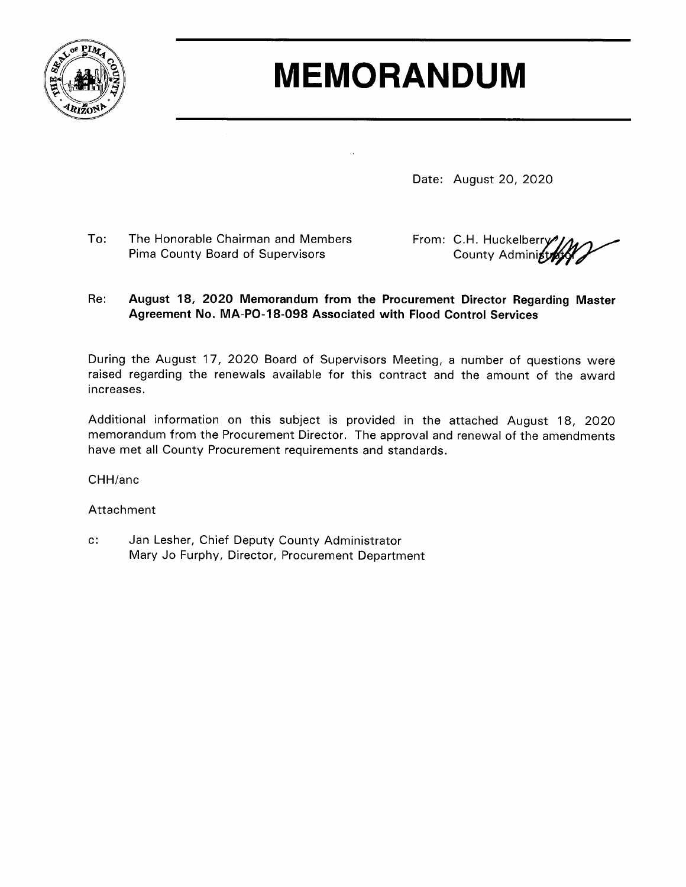

## **MEMORANDUM**

Date: August 20, 2020

To: The Honorable Chairman and Members Pima County Board of Supervisors

From: C.H. Huckelberry County Administ

## August 18, 2020 Memorandum from the Procurement Director Regarding Master  $Re:$ Agreement No. MA-PO-18-098 Associated with Flood Control Services

During the August 17, 2020 Board of Supervisors Meeting, a number of questions were raised regarding the renewals available for this contract and the amount of the award increases.

Additional information on this subject is provided in the attached August 18, 2020 memorandum from the Procurement Director. The approval and renewal of the amendments have met all County Procurement requirements and standards.

CHH/anc

## Attachment

 $c$ : Jan Lesher, Chief Deputy County Administrator Mary Jo Furphy, Director, Procurement Department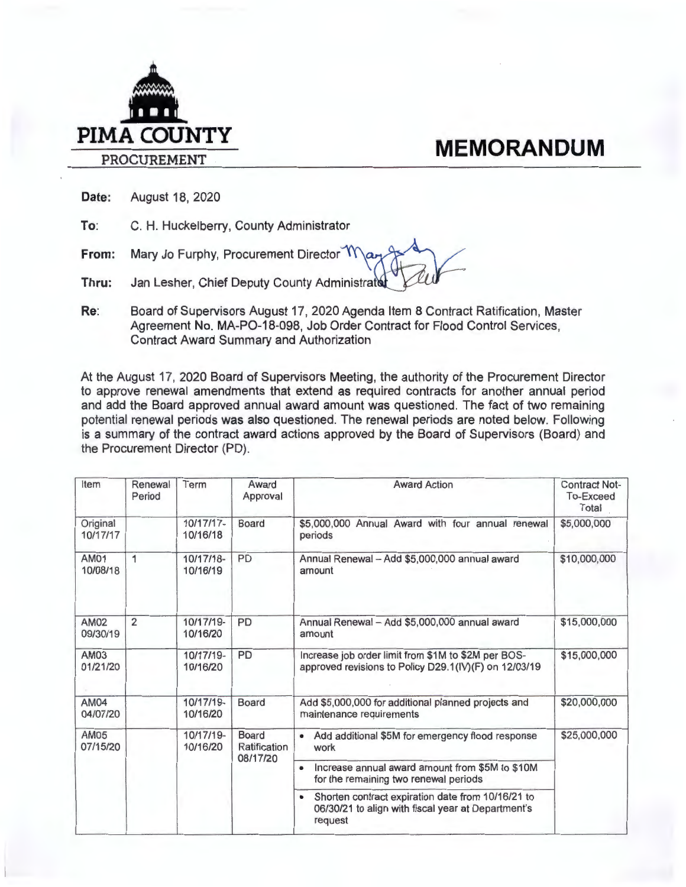

**Date:** August 18, 2020

**To:** C. H. Huckelberry, County Administrator

**From:**  Mary Jo Furphy, Procurement Director Ma

- **Thru:** Jan Lesher, Chief Deputy County Administrat
- **Re:** Board of Supervisors August 17, 2020 Agenda Item 8 Contract Ratification, Master Agreement No. MA-PO-18-098, Job Order Contract for Flood Control Services, Contract Award Summary and Authorization

At the August 17, 2020 Board of Supervisors Meeting, the authority of the Procurement Director to approve renewal amendments that extend as required contracts for another annual period and add the Board approved annual award amount was questioned. The fact of two remaining potential renewal periods was also questioned. The renewal periods are noted below. Following is a summary of the contract award actions approved by the Board of Supervisors (Board) and the Procurement Director (PD).

| Item                    | Renewal<br>Period | Term                  | Award<br>Approval                        | <b>Award Action</b>                                                                                                             | <b>Contract Not-</b><br><b>To-Exceed</b><br>Total |
|-------------------------|-------------------|-----------------------|------------------------------------------|---------------------------------------------------------------------------------------------------------------------------------|---------------------------------------------------|
| Original<br>10/17/17    |                   | 10/17/17-<br>10/16/18 | Board                                    | \$5,000,000 Annual Award with four annual renewal<br>periods                                                                    | \$5,000,000                                       |
| AM01<br>10/08/18        | 1                 | 10/17/18-<br>10/16/19 | PD                                       | Annual Renewal - Add \$5,000,000 annual award<br>amount                                                                         | \$10,000,000                                      |
| AM02<br>09/30/19        | $\overline{2}$    | 10/17/19-<br>10/16/20 | <b>PD</b>                                | Annual Renewal - Add \$5,000,000 annual award<br>amount                                                                         | \$15,000,000                                      |
| <b>AM03</b><br>01/21/20 |                   | 10/17/19-<br>10/16/20 | PD                                       | Increase job order limit from \$1M to \$2M per BOS-<br>approved revisions to Policy D29.1(IV)(F) on 12/03/19                    | \$15,000,000                                      |
| <b>AM04</b><br>04/07/20 |                   | 10/17/19-<br>10/16/20 | <b>Board</b>                             | Add \$5,000,000 for additional planned projects and<br>maintenance requirements                                                 | \$20,000,000                                      |
| AM05<br>07/15/20        |                   | 10/17/19-<br>10/16/20 | <b>Board</b><br>Ratification<br>08/17/20 | Add additional \$5M for emergency flood response<br>٠<br>work                                                                   | \$25,000,000                                      |
|                         |                   |                       |                                          | Increase annual award amount from \$5M to \$10M<br>$\bullet$<br>for the remaining two renewal periods                           |                                                   |
|                         |                   |                       |                                          | Shorten contract expiration date from 10/16/21 to<br>$\bullet$<br>06/30/21 to align with fiscal year at Department's<br>request |                                                   |